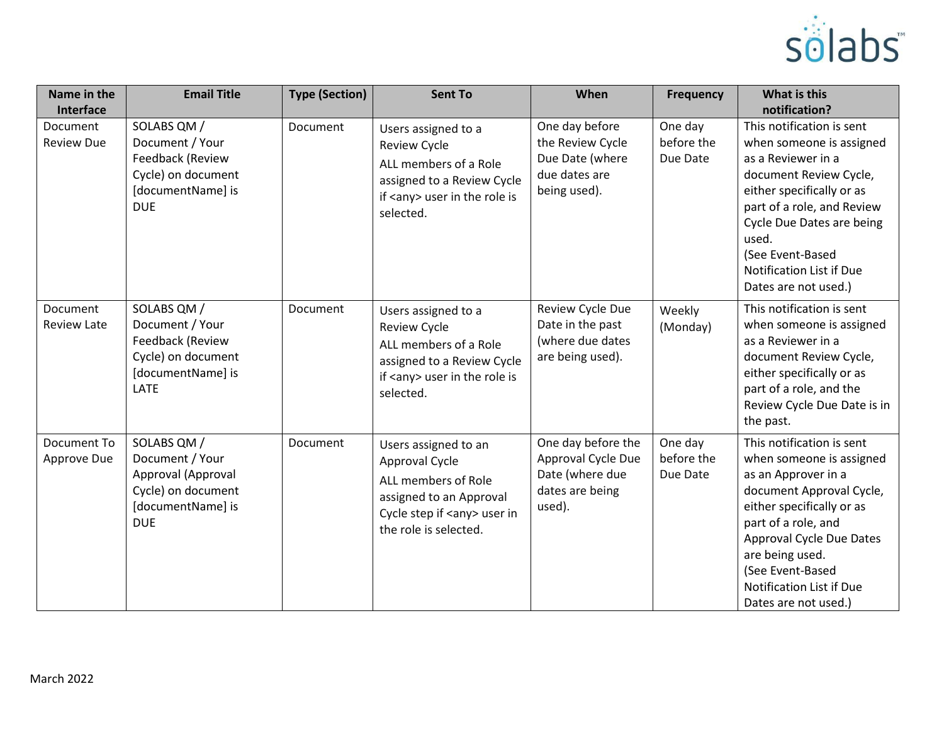

| Name in the<br>Interface       | <b>Email Title</b>                                                                                            | <b>Type (Section)</b> | <b>Sent To</b>                                                                                                                                          | When                                                                                     | <b>Frequency</b>                  | What is this<br>notification?                                                                                                                                                                                                                                                       |
|--------------------------------|---------------------------------------------------------------------------------------------------------------|-----------------------|---------------------------------------------------------------------------------------------------------------------------------------------------------|------------------------------------------------------------------------------------------|-----------------------------------|-------------------------------------------------------------------------------------------------------------------------------------------------------------------------------------------------------------------------------------------------------------------------------------|
| Document<br><b>Review Due</b>  | SOLABS QM /<br>Document / Your<br>Feedback (Review<br>Cycle) on document<br>[documentName] is<br><b>DUE</b>   | Document              | Users assigned to a<br><b>Review Cycle</b><br>ALL members of a Role<br>assigned to a Review Cycle<br>if <any> user in the role is<br/>selected.</any>   | One day before<br>the Review Cycle<br>Due Date (where<br>due dates are<br>being used).   | One day<br>before the<br>Due Date | This notification is sent<br>when someone is assigned<br>as a Reviewer in a<br>document Review Cycle,<br>either specifically or as<br>part of a role, and Review<br>Cycle Due Dates are being<br>used.<br>(See Event-Based<br>Notification List if Due<br>Dates are not used.)      |
| Document<br><b>Review Late</b> | SOLABS QM /<br>Document / Your<br>Feedback (Review<br>Cycle) on document<br>[documentName] is<br><b>LATE</b>  | Document              | Users assigned to a<br>Review Cycle<br>ALL members of a Role<br>assigned to a Review Cycle<br>if <any> user in the role is<br/>selected.</any>          | Review Cycle Due<br>Date in the past<br>(where due dates<br>are being used).             | Weekly<br>(Monday)                | This notification is sent<br>when someone is assigned<br>as a Reviewer in a<br>document Review Cycle,<br>either specifically or as<br>part of a role, and the<br>Review Cycle Due Date is in<br>the past.                                                                           |
| Document To<br>Approve Due     | SOLABS QM /<br>Document / Your<br>Approval (Approval<br>Cycle) on document<br>[documentName] is<br><b>DUE</b> | Document              | Users assigned to an<br>Approval Cycle<br>ALL members of Role<br>assigned to an Approval<br>Cycle step if <any> user in<br/>the role is selected.</any> | One day before the<br>Approval Cycle Due<br>Date (where due<br>dates are being<br>used). | One day<br>before the<br>Due Date | This notification is sent<br>when someone is assigned<br>as an Approver in a<br>document Approval Cycle,<br>either specifically or as<br>part of a role, and<br>Approval Cycle Due Dates<br>are being used.<br>(See Event-Based<br>Notification List if Due<br>Dates are not used.) |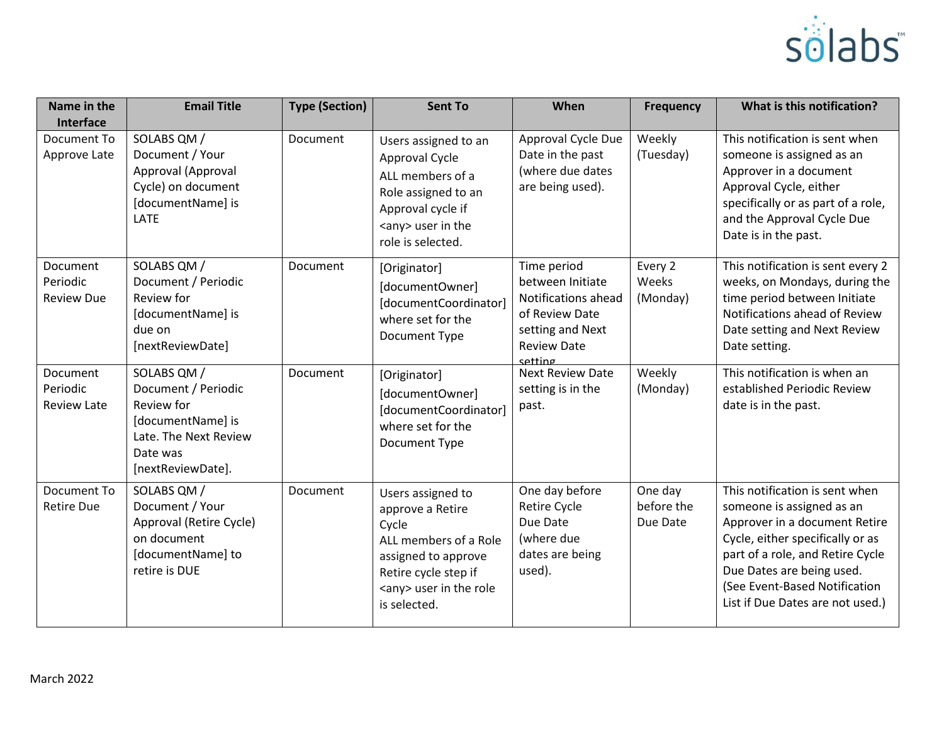

| Name in the<br>Interface                   | <b>Email Title</b>                                                                                                              | <b>Type (Section)</b> | <b>Sent To</b>                                                                                                                                                          | When                                                                                                                          | <b>Frequency</b>                  | What is this notification?                                                                                                                                                                                                                                             |
|--------------------------------------------|---------------------------------------------------------------------------------------------------------------------------------|-----------------------|-------------------------------------------------------------------------------------------------------------------------------------------------------------------------|-------------------------------------------------------------------------------------------------------------------------------|-----------------------------------|------------------------------------------------------------------------------------------------------------------------------------------------------------------------------------------------------------------------------------------------------------------------|
| Document To<br>Approve Late                | SOLABS QM /<br>Document / Your<br>Approval (Approval<br>Cycle) on document<br>[documentName] is<br><b>LATE</b>                  | Document              | Users assigned to an<br>Approval Cycle<br>ALL members of a<br>Role assigned to an<br>Approval cycle if<br><any> user in the<br/>role is selected.</any>                 | Approval Cycle Due<br>Date in the past<br>(where due dates<br>are being used).                                                | Weekly<br>(Tuesday)               | This notification is sent when<br>someone is assigned as an<br>Approver in a document<br>Approval Cycle, either<br>specifically or as part of a role,<br>and the Approval Cycle Due<br>Date is in the past.                                                            |
| Document<br>Periodic<br><b>Review Due</b>  | SOLABS QM /<br>Document / Periodic<br>Review for<br>[documentName] is<br>due on<br>[nextReviewDate]                             | Document              | [Originator]<br>[documentOwner]<br>[documentCoordinator]<br>where set for the<br>Document Type                                                                          | Time period<br>between Initiate<br>Notifications ahead<br>of Review Date<br>setting and Next<br><b>Review Date</b><br>cotting | Every 2<br>Weeks<br>(Monday)      | This notification is sent every 2<br>weeks, on Mondays, during the<br>time period between Initiate<br>Notifications ahead of Review<br>Date setting and Next Review<br>Date setting.                                                                                   |
| Document<br>Periodic<br><b>Review Late</b> | SOLABS QM /<br>Document / Periodic<br>Review for<br>[documentName] is<br>Late. The Next Review<br>Date was<br>[nextReviewDate]. | Document              | [Originator]<br>[documentOwner]<br>[documentCoordinator]<br>where set for the<br>Document Type                                                                          | <b>Next Review Date</b><br>setting is in the<br>past.                                                                         | Weekly<br>(Monday)                | This notification is when an<br>established Periodic Review<br>date is in the past.                                                                                                                                                                                    |
| Document To<br><b>Retire Due</b>           | SOLABS QM /<br>Document / Your<br>Approval (Retire Cycle)<br>on document<br>[documentName] to<br>retire is DUE                  | Document              | Users assigned to<br>approve a Retire<br>Cycle<br>ALL members of a Role<br>assigned to approve<br>Retire cycle step if<br><any> user in the role<br/>is selected.</any> | One day before<br><b>Retire Cycle</b><br>Due Date<br>(where due<br>dates are being<br>used).                                  | One day<br>before the<br>Due Date | This notification is sent when<br>someone is assigned as an<br>Approver in a document Retire<br>Cycle, either specifically or as<br>part of a role, and Retire Cycle<br>Due Dates are being used.<br>(See Event-Based Notification<br>List if Due Dates are not used.) |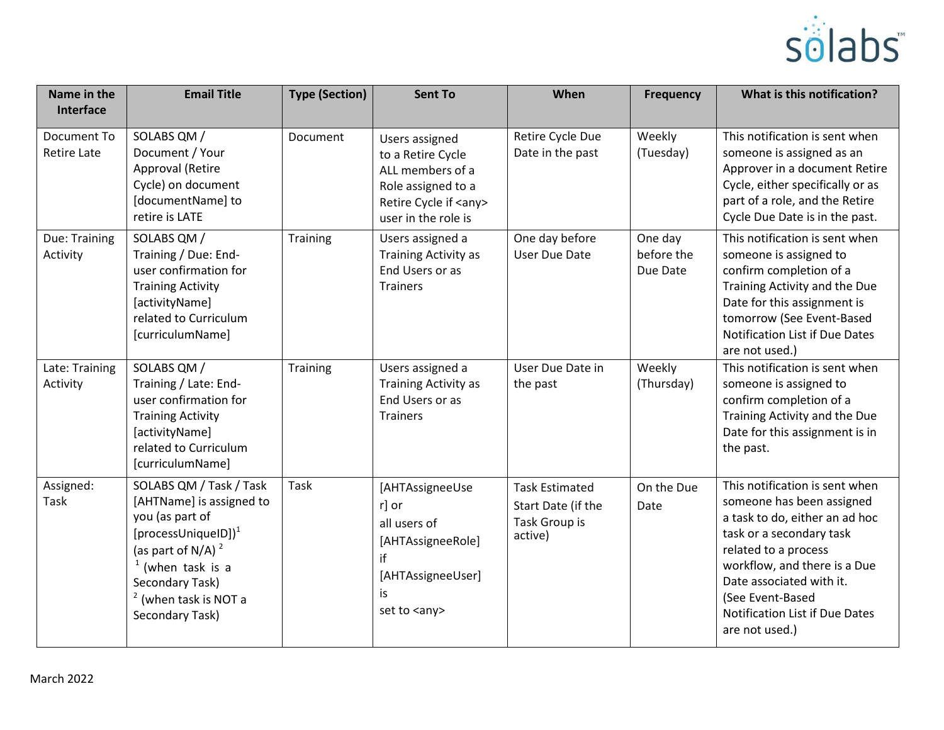

| Name in the<br>Interface          | <b>Email Title</b>                                                                                                                                                                                                       | <b>Type (Section)</b> | <b>Sent To</b>                                                                                                                       | When                                                                    | <b>Frequency</b>                  | What is this notification?                                                                                                                                                                                                                                                            |
|-----------------------------------|--------------------------------------------------------------------------------------------------------------------------------------------------------------------------------------------------------------------------|-----------------------|--------------------------------------------------------------------------------------------------------------------------------------|-------------------------------------------------------------------------|-----------------------------------|---------------------------------------------------------------------------------------------------------------------------------------------------------------------------------------------------------------------------------------------------------------------------------------|
| Document To<br><b>Retire Late</b> | SOLABS QM /<br>Document / Your<br>Approval (Retire<br>Cycle) on document<br>[documentName] to<br>retire is LATE                                                                                                          | Document              | Users assigned<br>to a Retire Cycle<br>ALL members of a<br>Role assigned to a<br>Retire Cycle if <any><br/>user in the role is</any> | Retire Cycle Due<br>Date in the past                                    | Weekly<br>(Tuesday)               | This notification is sent when<br>someone is assigned as an<br>Approver in a document Retire<br>Cycle, either specifically or as<br>part of a role, and the Retire<br>Cycle Due Date is in the past.                                                                                  |
| Due: Training<br>Activity         | SOLABS QM /<br>Training / Due: End-<br>user confirmation for<br><b>Training Activity</b><br>[activityName]<br>related to Curriculum<br>[curriculumName]                                                                  | Training              | Users assigned a<br>Training Activity as<br>End Users or as<br><b>Trainers</b>                                                       | One day before<br><b>User Due Date</b>                                  | One day<br>before the<br>Due Date | This notification is sent when<br>someone is assigned to<br>confirm completion of a<br>Training Activity and the Due<br>Date for this assignment is<br>tomorrow (See Event-Based<br>Notification List if Due Dates<br>are not used.)                                                  |
| Late: Training<br>Activity        | SOLABS QM /<br>Training / Late: End-<br>user confirmation for<br><b>Training Activity</b><br>[activityName]<br>related to Curriculum<br>[curriculumName]                                                                 | <b>Training</b>       | Users assigned a<br><b>Training Activity as</b><br>End Users or as<br><b>Trainers</b>                                                | User Due Date in<br>the past                                            | Weekly<br>(Thursday)              | This notification is sent when<br>someone is assigned to<br>confirm completion of a<br>Training Activity and the Due<br>Date for this assignment is in<br>the past.                                                                                                                   |
| Assigned:<br>Task                 | SOLABS QM / Task / Task<br>[AHTName] is assigned to<br>you (as part of<br>[processUniqueID]) $^{1}$<br>(as part of N/A) <sup>2</sup><br>$1$ (when task is a<br>Secondary Task)<br>(when task is NOT a<br>Secondary Task) | <b>Task</b>           | [AHTAssigneeUse<br>r] or<br>all users of<br>[AHTAssigneeRole]<br>if<br>[AHTAssigneeUser]<br>is<br>set to <any></any>                 | <b>Task Estimated</b><br>Start Date (if the<br>Task Group is<br>active) | On the Due<br>Date                | This notification is sent when<br>someone has been assigned<br>a task to do, either an ad hoc<br>task or a secondary task<br>related to a process<br>workflow, and there is a Due<br>Date associated with it.<br>(See Event-Based<br>Notification List if Due Dates<br>are not used.) |